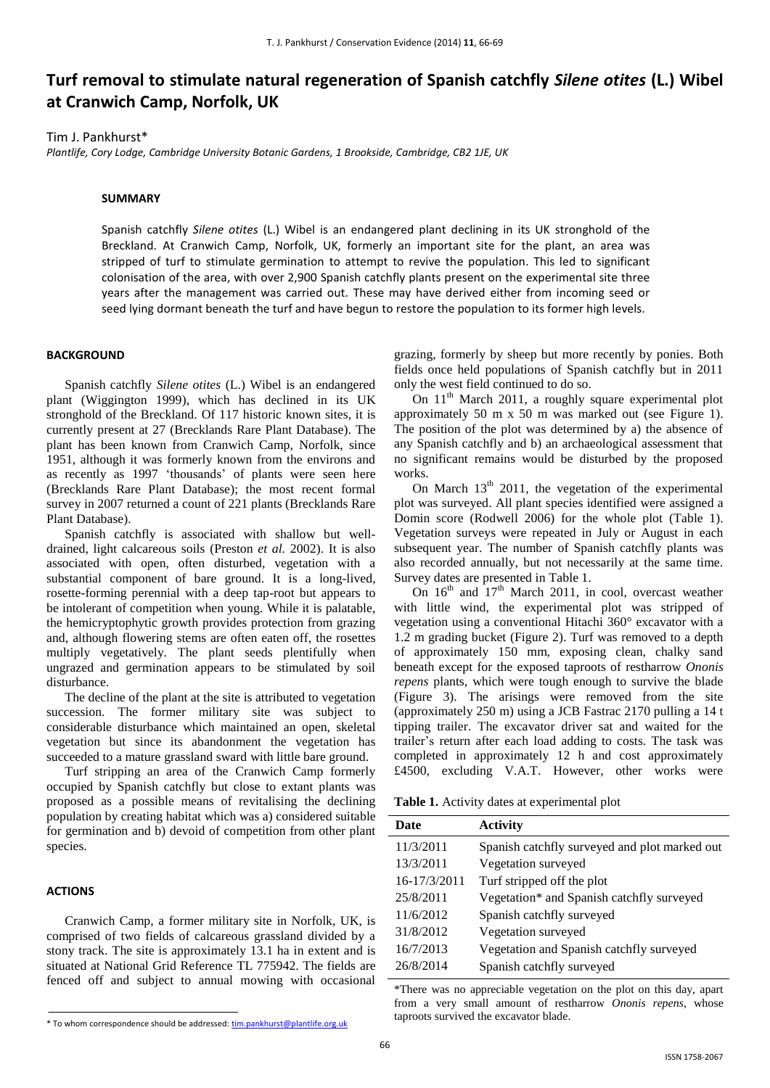# **Turf removal to stimulate natural regeneration of Spanish catchfly** *Silene otites* **(L.) Wibel at Cranwich Camp, Norfolk, UK**

Tim J. Pankhurst\*

*Plantlife, Cory Lodge, Cambridge University Botanic Gardens, 1 Brookside, Cambridge, CB2 1JE, UK*

#### **SUMMARY**

Spanish catchfly *Silene otites* (L.) Wibel is an endangered plant declining in its UK stronghold of the Breckland. At Cranwich Camp, Norfolk, UK, formerly an important site for the plant, an area was stripped of turf to stimulate germination to attempt to revive the population. This led to significant colonisation of the area, with over 2,900 Spanish catchfly plants present on the experimental site three years after the management was carried out. These may have derived either from incoming seed or seed lying dormant beneath the turf and have begun to restore the population to its former high levels.

#### **BACKGROUND**

Spanish catchfly *Silene otites* (L.) Wibel is an endangered plant (Wiggington 1999), which has declined in its UK stronghold of the Breckland. Of 117 historic known sites, it is currently present at 27 (Brecklands Rare Plant Database). The plant has been known from Cranwich Camp, Norfolk, since 1951, although it was formerly known from the environs and as recently as 1997 'thousands' of plants were seen here (Brecklands Rare Plant Database); the most recent formal survey in 2007 returned a count of 221 plants (Brecklands Rare Plant Database).

Spanish catchfly is associated with shallow but welldrained, light calcareous soils (Preston *et al.* 2002). It is also associated with open, often disturbed, vegetation with a substantial component of bare ground. It is a long-lived, rosette-forming perennial with a deep tap-root but appears to be intolerant of competition when young. While it is palatable, the hemicryptophytic growth provides protection from grazing and, although flowering stems are often eaten off, the rosettes multiply vegetatively. The plant seeds plentifully when ungrazed and germination appears to be stimulated by soil disturbance.

The decline of the plant at the site is attributed to vegetation succession. The former military site was subject to considerable disturbance which maintained an open, skeletal vegetation but since its abandonment the vegetation has succeeded to a mature grassland sward with little bare ground.

Turf stripping an area of the Cranwich Camp formerly occupied by Spanish catchfly but close to extant plants was proposed as a possible means of revitalising the declining population by creating habitat which was a) considered suitable for germination and b) devoid of competition from other plant species.

#### **ACTIONS**

Cranwich Camp, a former military site in Norfolk, UK, is comprised of two fields of calcareous grassland divided by a stony track. The site is approximately 13.1 ha in extent and is situated at National Grid Reference TL 775942. The fields are fenced off and subject to annual mowing with occasional

On  $11<sup>th</sup>$  March 2011, a roughly square experimental plot approximately 50 m x 50 m was marked out (see Figure 1). The position of the plot was determined by a) the absence of any Spanish catchfly and b) an archaeological assessment that no significant remains would be disturbed by the proposed works.

On March  $13<sup>th</sup>$  2011, the vegetation of the experimental plot was surveyed. All plant species identified were assigned a Domin score (Rodwell 2006) for the whole plot (Table 1). Vegetation surveys were repeated in July or August in each subsequent year. The number of Spanish catchfly plants was also recorded annually, but not necessarily at the same time. Survey dates are presented in Table 1.

On  $16<sup>th</sup>$  and  $17<sup>th</sup>$  March 2011, in cool, overcast weather with little wind, the experimental plot was stripped of vegetation using a conventional Hitachi 360° excavator with a 1.2 m grading bucket (Figure 2). Turf was removed to a depth of approximately 150 mm, exposing clean, chalky sand beneath except for the exposed taproots of restharrow *Ononis repens* plants, which were tough enough to survive the blade (Figure 3). The arisings were removed from the site (approximately 250 m) using a JCB Fastrac 2170 pulling a 14 t tipping trailer. The excavator driver sat and waited for the trailer's return after each load adding to costs. The task was completed in approximately 12 h and cost approximately £4500, excluding V.A.T. However, other works were

**Table 1.** Activity dates at experimental plot

| Date         | <b>Activity</b>                               |
|--------------|-----------------------------------------------|
| 11/3/2011    | Spanish catchfly surveyed and plot marked out |
| 13/3/2011    | Vegetation surveyed                           |
| 16-17/3/2011 | Turf stripped off the plot                    |
| 25/8/2011    | Vegetation* and Spanish catchfly surveyed     |
| 11/6/2012    | Spanish catchfly surveyed                     |
| 31/8/2012    | Vegetation surveyed                           |
| 16/7/2013    | Vegetation and Spanish catchfly surveyed      |
| 26/8/2014    | Spanish catchfly surveyed                     |

\*There was no appreciable vegetation on the plot on this day, apart from a very small amount of restharrow *Ononis repens*, whose taproots survived the excavator blade.

grazing, formerly by sheep but more recently by ponies. Both fields once held populations of Spanish catchfly but in 2011 only the west field continued to do so.

<sup>\*</sup> To whom correspondence should be addressed[: tim.pankhurst@plantlife.org.uk](mailto:tim.pankhurst@plantlife.org.uk)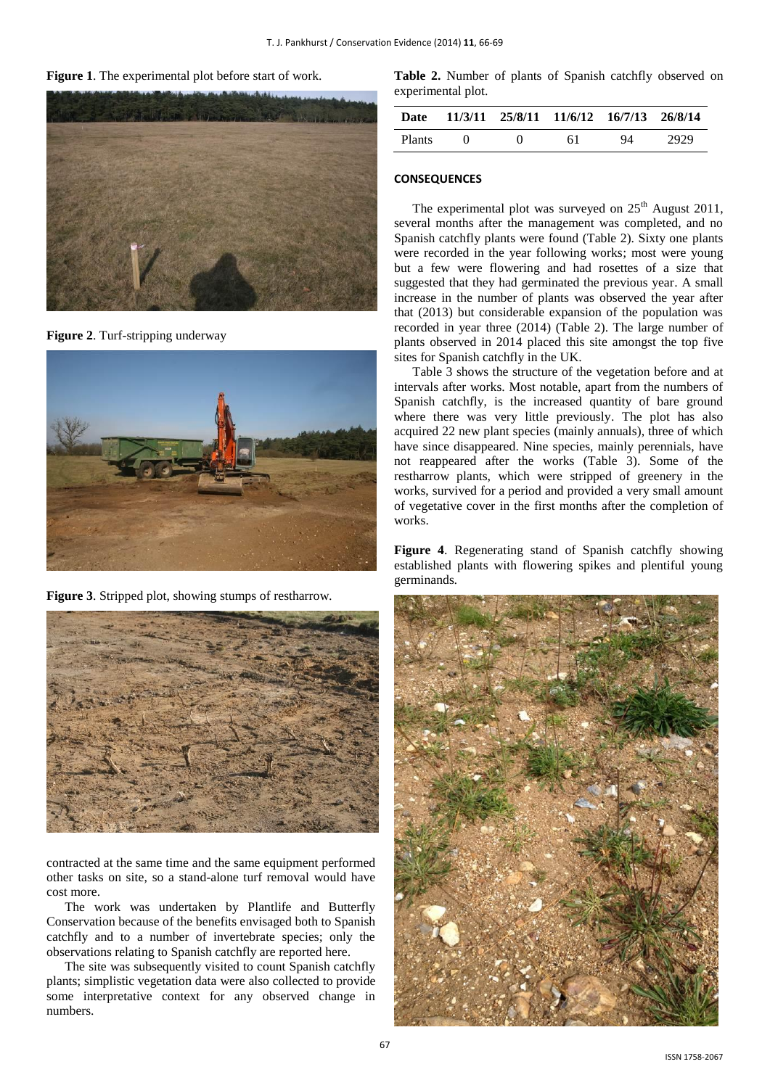**Figure 1**. The experimental plot before start of work.



**Figure 2**. Turf-stripping underway



**Figure 3**. Stripped plot, showing stumps of restharrow*.*



contracted at the same time and the same equipment performed other tasks on site, so a stand-alone turf removal would have cost more.

The work was undertaken by Plantlife and Butterfly Conservation because of the benefits envisaged both to Spanish catchfly and to a number of invertebrate species; only the observations relating to Spanish catchfly are reported here.

The site was subsequently visited to count Spanish catchfly plants; simplistic vegetation data were also collected to provide some interpretative context for any observed change in numbers.

**Table 2.** Number of plants of Spanish catchfly observed on experimental plot.

| Date          |                   | 11/3/11 25/8/11 11/6/12 16/7/13 26/8/14 |    |      |
|---------------|-------------------|-----------------------------------------|----|------|
| <b>Plants</b> | $\mathbf{\Omega}$ | 61                                      | 94 | 2929 |

## **CONSEQUENCES**

The experimental plot was surveyed on  $25<sup>th</sup>$  August 2011, several months after the management was completed, and no Spanish catchfly plants were found (Table 2). Sixty one plants were recorded in the year following works; most were young but a few were flowering and had rosettes of a size that suggested that they had germinated the previous year. A small increase in the number of plants was observed the year after that (2013) but considerable expansion of the population was recorded in year three (2014) (Table 2). The large number of plants observed in 2014 placed this site amongst the top five sites for Spanish catchfly in the UK.

Table 3 shows the structure of the vegetation before and at intervals after works. Most notable, apart from the numbers of Spanish catchfly, is the increased quantity of bare ground where there was very little previously. The plot has also acquired 22 new plant species (mainly annuals), three of which have since disappeared. Nine species, mainly perennials, have not reappeared after the works (Table 3). Some of the restharrow plants, which were stripped of greenery in the works, survived for a period and provided a very small amount of vegetative cover in the first months after the completion of works.

**Figure 4**. Regenerating stand of Spanish catchfly showing established plants with flowering spikes and plentiful young germinands*.*



67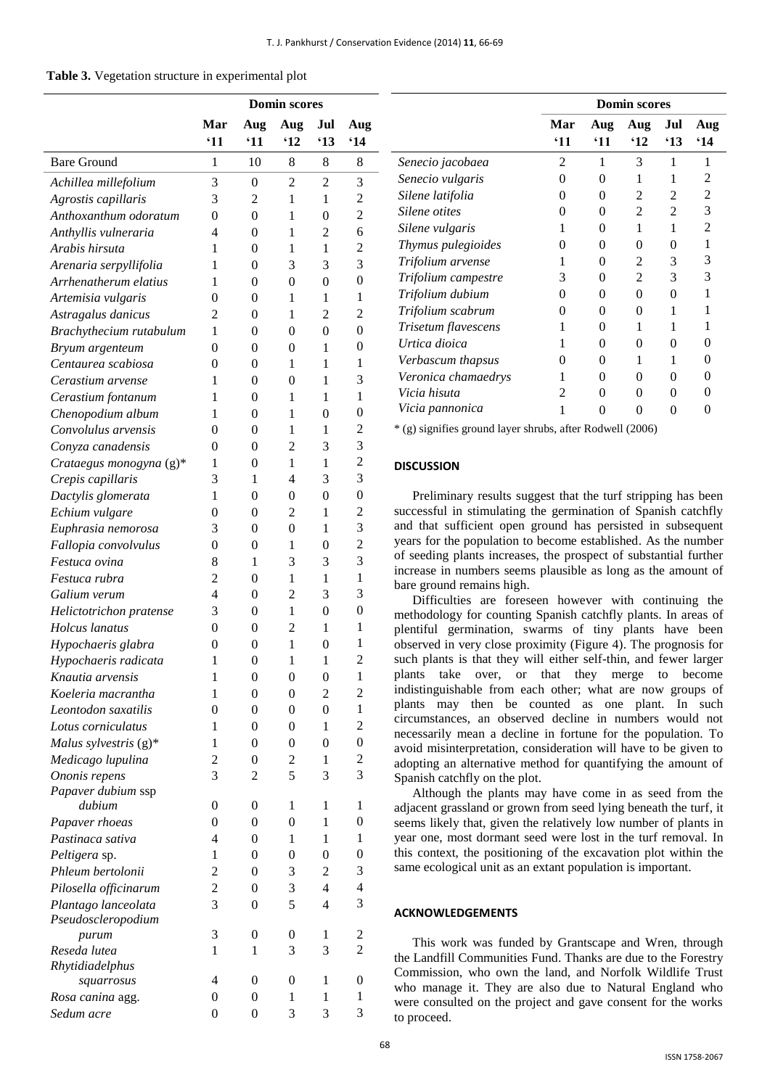|  | Table 3. Vegetation structure in experimental plot |  |  |  |
|--|----------------------------------------------------|--|--|--|
|--|----------------------------------------------------|--|--|--|

|                                           | <b>Domin scores</b> |                                  |                  |                  |                         |
|-------------------------------------------|---------------------|----------------------------------|------------------|------------------|-------------------------|
|                                           | Mar                 | Aug                              | Aug              | Jul              | Aug                     |
|                                           | $^{\circ}11$        | '11                              | $^{\circ}12$     | '13              | 614                     |
| <b>Bare Ground</b>                        | 1                   | 10                               | 8                | 8                | 8                       |
| Achillea millefolium                      | 3                   | $\overline{0}$                   | $\overline{2}$   | 2                | 3                       |
| Agrostis capillaris                       | 3                   | 2                                | 1                | 1                | 2                       |
| Anthoxanthum odoratum                     | $\overline{0}$      | $\mathbf{0}$                     | 1                | $\overline{0}$   | $\overline{c}$          |
| Anthyllis vulneraria                      | 4                   | 0                                | 1                | 2                | 6                       |
| Arabis hirsuta                            | 1                   | $\overline{0}$                   | 1                | 1                | $\overline{c}$          |
| Arenaria serpyllifolia                    | 1                   | 0                                | 3                | 3                | 3                       |
| Arrhenatherum elatius                     | 1                   | 0                                | $\overline{0}$   | $\theta$         | $\overline{0}$          |
| Artemisia vulgaris                        | 0                   | 0                                | 1                | 1                | 1                       |
| Astragalus danicus                        | 2                   | $\overline{0}$                   | 1                | $\overline{2}$   | $\overline{c}$          |
| Brachythecium rutabulum                   | 1                   | 0                                | $\theta$         | $\theta$         | $\boldsymbol{0}$        |
| Bryum argenteum                           | $\overline{0}$      | $\overline{0}$                   | $\overline{0}$   | 1                | $\overline{0}$          |
| Centaurea scabiosa                        | 0                   | 0                                | 1                | 1                | 1                       |
| Cerastium arvense                         | 1                   | $\overline{0}$                   | $\overline{0}$   | 1                | 3                       |
| Cerastium fontanum                        | 1                   | 0                                | 1                | 1                | 1                       |
| Chenopodium album                         | 1                   | 0                                | 1                | 0                | 0                       |
| Convolulus arvensis                       | 0                   | 0                                | 1                | 1                | 2                       |
| Conyza canadensis                         | 0                   | 0                                | $\overline{2}$   | 3                | 3                       |
| Crataegus monogyna (g)*                   | 1                   | 0                                | 1                | 1                | $\overline{c}$          |
| Crepis capillaris                         | 3                   | 1                                | $\overline{4}$   | 3                | 3                       |
| Dactylis glomerata                        | 1                   | 0                                | $\overline{0}$   | $\theta$         | $\mathbf{0}$            |
| Echium vulgare                            | 0                   | $\overline{0}$                   | $\overline{2}$   | 1                | $\overline{c}$          |
| Euphrasia nemorosa                        | 3                   | 0                                | $\theta$         | 1                | 3                       |
| Fallopia convolvulus                      | $\overline{0}$      | 0                                | 1                | $\overline{0}$   | $\overline{c}$          |
| Festuca ovina                             | 8                   | 1                                | 3                | 3                | 3                       |
| Festuca rubra                             | 2                   | $\overline{0}$                   | 1                | $\mathbf{1}$     | $\mathbf{1}$            |
| Galium verum                              | $\overline{4}$      | 0                                | $\overline{c}$   | 3                | 3                       |
| Helictotrichon pratense                   | 3                   | 0                                | 1                | $\theta$         | $\overline{0}$          |
| Holcus lanatus                            | 0                   | 0                                | $\overline{c}$   | 1                | 1                       |
| Hypochaeris glabra                        | 0                   | 0                                | 1                | 0                | 1                       |
| Hypochaeris radicata                      | 1                   | 0                                | 1                | 1                | 2                       |
| Knautia arvensis                          | 1                   | 0                                | 0                | $\boldsymbol{0}$ | 1                       |
| Koeleria macrantha                        | 1                   | 0                                | $\boldsymbol{0}$ | 2                | 2                       |
| Leontodon saxatilis                       | $\overline{0}$      | $\mathbf{0}$                     | $\mathbf{0}$     | $\boldsymbol{0}$ | $\mathbf{1}$            |
| Lotus corniculatus                        | 1                   | $\overline{0}$                   | $\overline{0}$   | 1                | $\overline{c}$          |
| Malus sylvestris $(g)^*$                  | 1                   | $\overline{0}$                   | $\mathbf{0}$     | $\overline{0}$   | $\boldsymbol{0}$        |
| Medicago lupulina                         | $\overline{c}$      | $\overline{0}$                   | $\overline{c}$   | 1                | $\overline{\mathbf{c}}$ |
| Ononis repens                             | 3                   | 2                                | 5                | 3                | 3                       |
| Papaver dubium ssp                        |                     |                                  |                  |                  |                         |
| dubium                                    | $\overline{0}$      | $\overline{0}$                   | 1                | 1                | $\mathbf{1}$            |
| Papaver rhoeas                            | $\overline{0}$      | $\overline{0}$                   | $\overline{0}$   | 1                | 0                       |
| Pastinaca sativa                          | 4                   | $\overline{0}$                   | 1                | 1                | $\mathbf{1}$            |
| Peltigera sp.                             | 1                   | $\overline{0}$                   | $\overline{0}$   | $\overline{0}$   | 0                       |
| Phleum bertolonii                         | $\overline{c}$      | $\overline{0}$                   | 3                | 2                | 3                       |
| Pilosella officinarum                     | $\overline{c}$<br>3 | $\overline{0}$<br>$\overline{0}$ | 3<br>5           | 4<br>4           | 4<br>3                  |
| Plantago lanceolata<br>Pseudoscleropodium |                     |                                  |                  |                  |                         |
| purum                                     | 3                   | 0                                | 0                | 1                | 2                       |
| Reseda lutea                              | 1                   | $\mathbf{1}$                     | 3                | 3                | 2                       |
| Rhytidiadelphus                           |                     |                                  |                  |                  |                         |
| squarrosus                                | 4                   | $\overline{0}$                   | 0                | 1                | 0                       |
| Rosa canina agg.                          | $\overline{0}$      | $\overline{0}$                   | 1                | 1                | 1                       |
| Sedum acre                                | $\Omega$            | 0                                | 3                | 3                | 3                       |

|                     | <b>Domin scores</b>    |                     |                     |                     |                   |
|---------------------|------------------------|---------------------|---------------------|---------------------|-------------------|
|                     | Mar<br><sup>'</sup> 11 | Aug<br>$^{\circ}11$ | Aug<br>$^{\circ}12$ | Jul<br>$^{\circ}13$ | Aug<br>$^4$ 14    |
| Senecio jacobaea    | 2                      | 1                   | 3                   | 1                   | 1                 |
| Senecio vulgaris    | 0                      | 0                   | 1                   | 1                   | 2                 |
| Silene latifolia    | 0                      | 0                   | 2                   | 2                   | 2                 |
| Silene otites       | 0                      | $\Omega$            | $\mathfrak{D}$      | $\mathfrak{D}$      | 3                 |
| Silene vulgaris     | 1                      | 0                   | 1                   | 1                   | $\mathfrak{D}$    |
| Thymus pulegioides  | 0                      | $\Omega$            | 0                   | 0                   | 1                 |
| Trifolium arvense   | 1                      | $\Omega$            | $\mathfrak{D}$      | 3                   | 3                 |
| Trifolium campestre | 3                      | $\Omega$            | 2                   | 3                   | 3                 |
| Trifolium dubium    | 0                      | 0                   | 0                   | 0                   | 1                 |
| Trifolium scabrum   | $\theta$               | $\Omega$            | $\Omega$            |                     | 1                 |
| Trisetum flavescens | 1                      | $\Omega$            | 1                   |                     |                   |
| Urtica dioica       | 1                      | 0                   | 0                   | 0                   | 0                 |
| Verbascum thapsus   | 0                      | 0                   | 1                   | 1                   | 0                 |
| Veronica chamaedrys | 1                      | $\Omega$            | $\Omega$            | $\Omega$            | 0                 |
| Vicia hisuta        | $\mathfrak{D}$         | $\Omega$            | $\Omega$            | $\Omega$            | $\mathbf{\Omega}$ |
| Vicia pannonica     | 1                      | 0                   | 0                   | 0                   | $\mathbf{\Omega}$ |

\* (g) signifies ground layer shrubs, after Rodwell (2006)

#### **DISCUSSION**

Preliminary results suggest that the turf stripping has been successful in stimulating the germination of Spanish catchfly and that sufficient open ground has persisted in subsequent years for the population to become established. As the number of seeding plants increases, the prospect of substantial further increase in numbers seems plausible as long as the amount of bare ground remains high.

Difficulties are foreseen however with continuing the methodology for counting Spanish catchfly plants. In areas of plentiful germination, swarms of tiny plants have been observed in very close proximity (Figure 4). The prognosis for such plants is that they will either self-thin, and fewer larger plants take over, or that they merge to become indistinguishable from each other; what are now groups of plants may then be counted as one plant. In such circumstances, an observed decline in numbers would not necessarily mean a decline in fortune for the population. To avoid misinterpretation, consideration will have to be given to adopting an alternative method for quantifying the amount of Spanish catchfly on the plot.

Although the plants may have come in as seed from the adjacent grassland or grown from seed lying beneath the turf, it seems likely that, given the relatively low number of plants in year one, most dormant seed were lost in the turf removal. In this context, the positioning of the excavation plot within the same ecological unit as an extant population is important.

## **ACKNOWLEDGEMENTS**

This work was funded by Grantscape and Wren, through the Landfill Communities Fund. Thanks are due to the Forestry Commission, who own the land, and Norfolk Wildlife Trust who manage it. They are also due to Natural England who were consulted on the project and gave consent for the works to proceed.